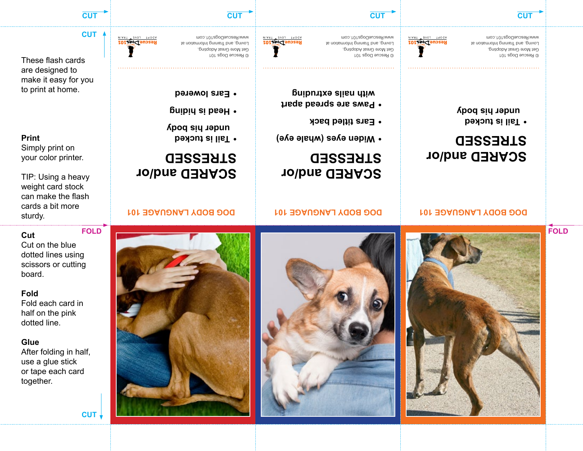

**CUT**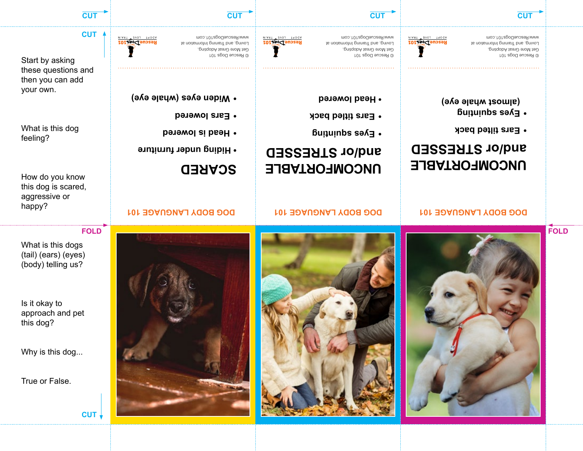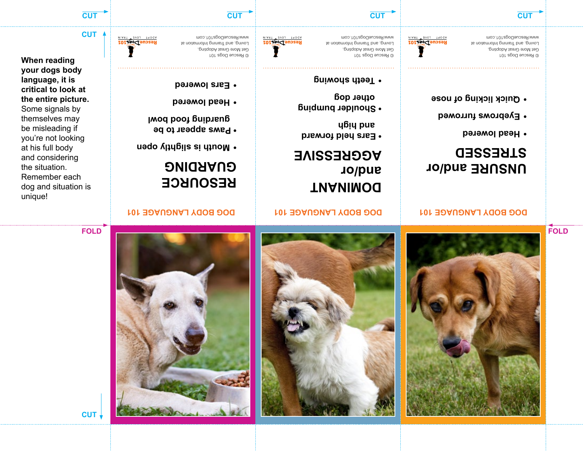



**UNSURE and/or** 

**STRESSED**

**Head lowered •**

**Eyebrows furrowed •**

**Quick licking of nose •**





#### **TIANIMOQ and/or AGGRESSIVE**

- **Ears held forward and high**
- **Shoulder bumping other dog**
- **Teeth showing •**

© Rescue Dogs 101 Get More Great Adopting,

www.RescueDogs101.com

- 
- Loving, and Training Information at



© Rescue Dogs 101 Get More Great Adopting, Loving, and Training Information at www.RescueDogs101.com

RescueDogs101

**When reading your dogs body language, it is critical to look at the entire picture.**  Some signals by themselves may be misleading if you're not looking at his full body and considering the situation. Remember each dog and situation is

unique!

#### **DOG BODY LANGUAGE 101 DOG BODY LANGUAGE 101 DOG BODY LANGUAGE 101**

# **RESOURCE GUARDING**

- **Mouth is slightly open •**
- **Paws appear to be**
- **guarding food bowl**
- **Head lowered •**
- **Ears lowered •**

**CUT**

**FOLD**

**CUT**

**FOLD**

**CUT CUT CUT CUT**

© Rescue Dogs 101 Get More Great Adopting, Loving, and Training Information at www.RescueDogs101.com

RescueDogs101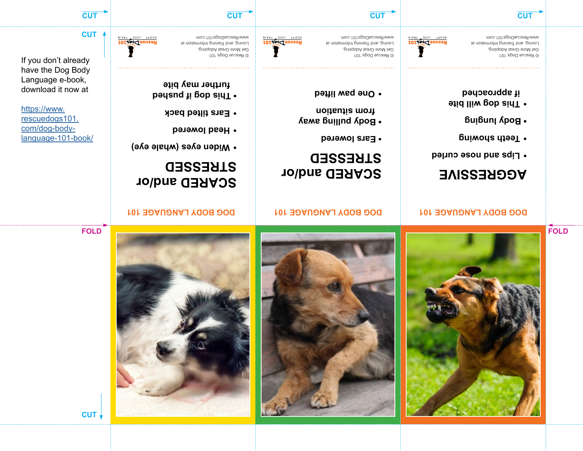





**SCARED and/or** 

**Widen eyes (whale eye) •**

**STRESSED**

**Head lowered •**

**Ears tilted back •**

**badged** if poushed in poushed **further may bite**

# **FOLD**

**CUT**

#### **DOG BODY LANGUAGE 101 DOG BODY LANGUAGE 101 DOG BODY LANGUAGE 101**

# **SCARED and/or STRESSED**

- **Ears lowered**
- **Body pulling away from situation**
- 
- **One paw lifted •**
- 
- 
- 
- ADOPT LOVE TRAIN RescueDogs101







**CUT**

If you don't already have the Dog Body Language e-book, download it now at

[https://www.](https://www.rescuedogs101.com/dog-body-language-101-book/) [rescuedogs101.](https://www.rescuedogs101.com/dog-body-language-101-book/) [com/dog-body](https://www.rescuedogs101.com/dog-body-language-101-book/)[language-101-book/](https://www.rescuedogs101.com/dog-body-language-101-book/)

**AGGRESSIVE**

**FOLD**

- **Lips and nose curled •**
- **Teeth showing •**
- **Body lunging**
- **This dog will bite • if approached**

© Rescue Dogs 101 Get More Great Adopting, Loving, and Training Information at www.RescueDogs101.com

www.RescueDogs101.com RescueDogs101 Loving, and Training Information at Get More Great Adopting, © Rescue Dogs 101

**CUT CUT CUT CUT**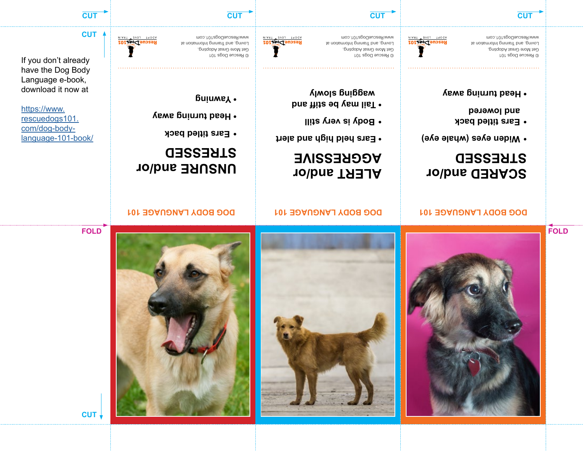



**ALERT and/or** 

**AGGRESSIVE**

**Body is very still •**

**• Tail may be stiff and wagging slowly** 

**• Ears held high and alert**

**DOG BODY LANGUAGE 101 DOG BODY LANGUAGE 101 DOG BODY LANGUAGE 101**





**FOLD**

**CUT**

#### **UNSURE and/or STRESSED**

- **Ears titled back •**
- **Head turning away**
- 
- 
- **Yawning**

© Rescue Dogs 101

ADOPT LOVE TRAIN RescueDogs101

Loving, and Training Information at www.RescueDogs101.com

- 
- 
- 
- 
- Get More Great Adopting,
- 

RescueDogs101

**CUT**

If you don't already have the Dog Body

Language e-book, [https://www.](https://www.rescuedogs101.com/dog-body-language-101-book/)

download it now at

[rescuedogs101.](https://www.rescuedogs101.com/dog-body-language-101-book/) [com/dog-body](https://www.rescuedogs101.com/dog-body-language-101-book/)[language-101-book/](https://www.rescuedogs101.com/dog-body-language-101-book/)

© Rescue Dogs 101 Get More Great Adopting, Loving, and Training Information at www.RescueDogs101.com

**SCARED and/or** 

**Widen eyes (whale eye) •**

**STRESSED**

**Ears titled back • and lowered**

**• Head turning away**

RescueDogs101

© Rescue Dogs 101 Get More Great Adopting, Loving, and Training Information at www.RescueDogs101.com

**CUT CUT CUT CUT**

**FOLD**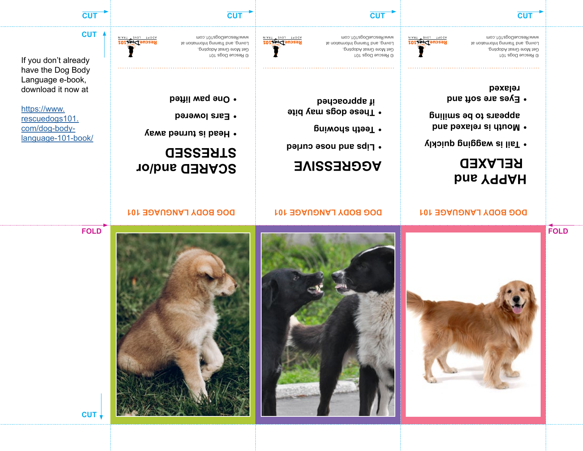

**FOLD**

© Rescue Dogs 101 Get More Great Adopting, Loving, and Training Information at www.RescueDogs101.com

**CUT CUT CUT CUT**

ADOPT LOVE TRAIN RescueDogs101

© Rescue Dogs 101 Get More Great Adopting, Loving, and Training Information at www.RescueDogs101.com

RescueDogs101

© Rescue Dogs 101 Get More Great Adopting, Loving, and Training Information at www.RescueDogs101.com

If you don't already

**CUT**

RescueDogs101

[rescuedogs101.](https://www.rescuedogs101.com/dog-body-language-101-book/) [com/dog-body](https://www.rescuedogs101.com/dog-body-language-101-book/)[language-101-book/](https://www.rescuedogs101.com/dog-body-language-101-book/)

have the Dog Body Language e-book, download it now at

[https://www.](https://www.rescuedogs101.com/dog-body-language-101-book/)

**CUT**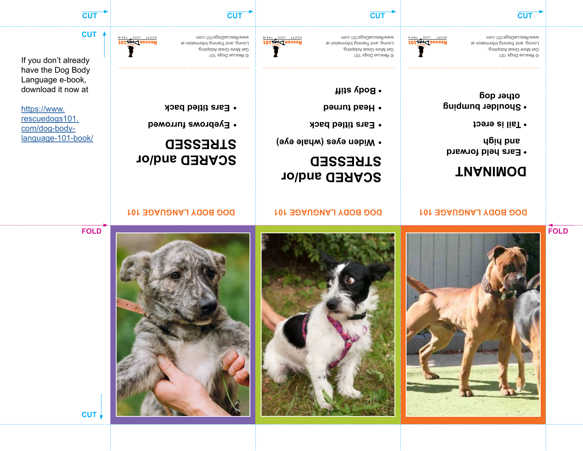

**FOLD**





**Ears titled back •**

**Head turned •**

**• Body stiff**



# **Widen eyes (whale eye) •**

# **SCARED and/or STRESSED**

**Eyebrows furrowed •**

**Ears titled back •**

If you don't already have the Dog Body download it now at

[https://www.](https://www.rescuedogs101.com/dog-body-language-101-book/) [rescuedogs101.](https://www.rescuedogs101.com/dog-body-language-101-book/) [com/dog-body](https://www.rescuedogs101.com/dog-body-language-101-book/)[language-101-book/](https://www.rescuedogs101.com/dog-body-language-101-book/)

Language e-book,

**CUT**

RescueDogs101

RescueDogs101

ADOPT LOVE TRAIN

© Rescue Dogs 101 Get More Great Adopting, Loving, and Training Information at www.RescueDogs101.com

**CUT CUT CUT CUT**

© Rescue Dogs 101 Get More Great Adopting,

**FOLD**

www.RescueDogs101.com

**TIANIMOQ** 

**and high** 

**• Tail is erect**

**other dog**

**• Ears held forward**

**• Shoulder bumping**

RescueDogs101 Loving, and Training Information at

Get More Great Adopting, Loving, and Training Information at www.RescueDogs101.com

© Rescue Dogs 101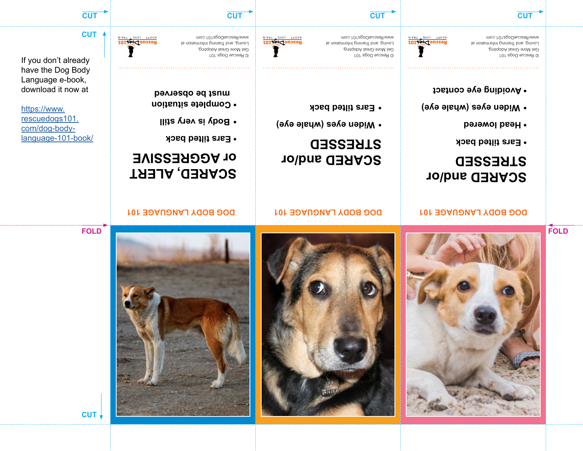





**SCARED and/or** 

**DOG BODY LANGUAGE 101 DOG BODY LANGUAGE 101 DOG BODY LANGUAGE 101**

**Widen eyes (whale eye) •**

**STRESSED**

**Ears tilted back •**







**CUT**

# **SCARED, ALERT**

**or AGGRESSIVE**

- **Ears tilted back**
- **Body is very still •**

© Rescue Dogs 101

ADOPT LOVE TRAIN RescueDogs101

- **Complete situation**
- 
- **must be observed**



**CUT**

If you don't already have the Dog Body

[rescuedogs101.](https://www.rescuedogs101.com/dog-body-language-101-book/) [com/dog-body-](https://www.rescuedogs101.com/dog-body-language-101-book/)

[language-101-book/](https://www.rescuedogs101.com/dog-body-language-101-book/)

[https://www.](https://www.rescuedogs101.com/dog-body-language-101-book/)

Language e-book,

download it now at

www.RescueDogs101.com RescueDogs101 Loving, and Training Information at Get More Great Adopting,

**SCARED and/or** 

**Widen eyes (whale eye) •**

**• Avoiding eye contact**

**STRESSED**

**• Ears tilted back**

**• Head lowered**

© Rescue Dogs 101 Get More Great Adopting, Loving, and Training Information at www.RescueDogs101.com

**CUT CUT CUT CUT**

© Rescue Dogs 101

**FOLD**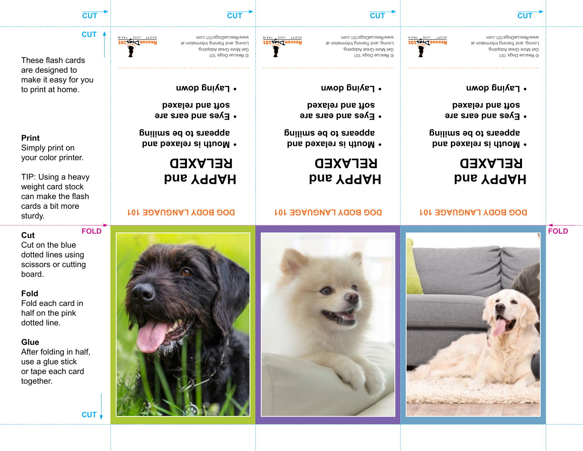

**Glue** After folding in half, use a glue stick or tape each card together.

**Fold** Fold each card in half on the pink dotted line.

Cut on the blue dotted lines using scissors or cutting board.

**Cut**

TIP: Using a heavy weight card stock can make the flash cards a bit more sturdy. **FOLD**

**Print** Simply print on your color printer.

These flash cards are designed to to print at home.

make it easy for you



**CUT**

RescueDogs101



**HAPPY and**

 **RELAXED**

**Mouth is relaxed and • appears to be smiling**

**Eyes and ears are • soft and relaxed**

**Laying down •**





#### **DOG BODY LANGUAGE 101 DOG BODY LANGUAGE 101 DOG BODY LANGUAGE 101**

#### **HAPPY and RELAXED**

- **Mouth is relaxed and • appears to be smiling**
- **Eyes and ears are • soft and relaxed**
- **Laying down •**
- 



































© Rescue Dogs 101 Get More Great Adopting, Loving, and Training Information at

www.RescueDogs101.com

**Laying down •**

**HAPPY and**

 **RELAXED**

**Mouth is relaxed and • appears to be smiling**

**Eyes and ears are • soft and relaxed**